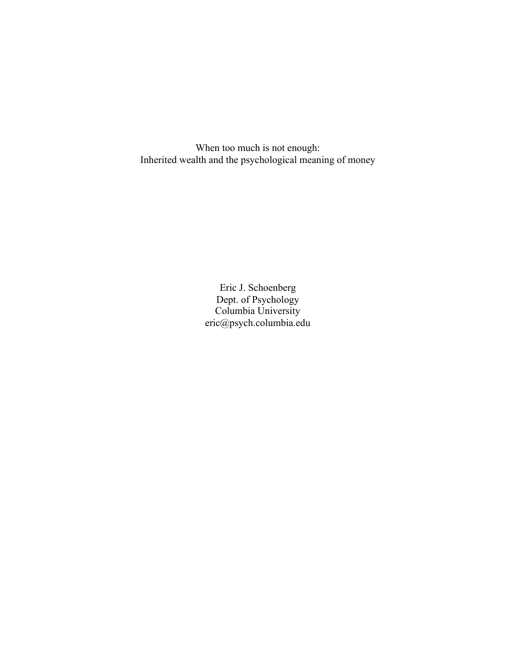When too much is not enough: Inherited wealth and the psychological meaning of money

> Eric J. Schoenberg Dept. of Psychology Columbia University eric@psych.columbia.edu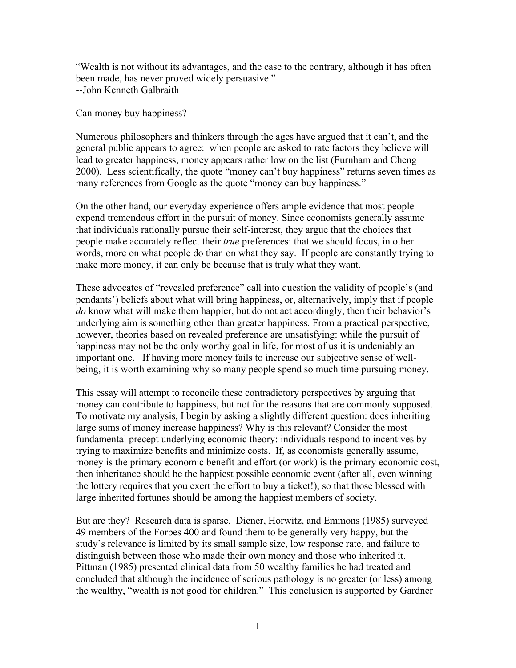"Wealth is not without its advantages, and the case to the contrary, although it has often been made, has never proved widely persuasive." --John Kenneth Galbraith

Can money buy happiness?

Numerous philosophers and thinkers through the ages have argued that it can't, and the general public appears to agree: when people are asked to rate factors they believe will lead to greater happiness, money appears rather low on the list (Furnham and Cheng 2000). Less scientifically, the quote "money can't buy happiness" returns seven times as many references from Google as the quote "money can buy happiness."

On the other hand, our everyday experience offers ample evidence that most people expend tremendous effort in the pursuit of money. Since economists generally assume that individuals rationally pursue their self-interest, they argue that the choices that people make accurately reflect their *true* preferences: that we should focus, in other words, more on what people do than on what they say. If people are constantly trying to make more money, it can only be because that is truly what they want.

These advocates of "revealed preference" call into question the validity of people's (and pendants') beliefs about what will bring happiness, or, alternatively, imply that if people *do* know what will make them happier, but do not act accordingly, then their behavior's underlying aim is something other than greater happiness. From a practical perspective, however, theories based on revealed preference are unsatisfying: while the pursuit of happiness may not be the only worthy goal in life, for most of us it is undeniably an important one. If having more money fails to increase our subjective sense of wellbeing, it is worth examining why so many people spend so much time pursuing money.

This essay will attempt to reconcile these contradictory perspectives by arguing that money can contribute to happiness, but not for the reasons that are commonly supposed. To motivate my analysis, I begin by asking a slightly different question: does inheriting large sums of money increase happiness? Why is this relevant? Consider the most fundamental precept underlying economic theory: individuals respond to incentives by trying to maximize benefits and minimize costs. If, as economists generally assume, money is the primary economic benefit and effort (or work) is the primary economic cost, then inheritance should be the happiest possible economic event (after all, even winning the lottery requires that you exert the effort to buy a ticket!), so that those blessed with large inherited fortunes should be among the happiest members of society.

But are they? Research data is sparse. Diener, Horwitz, and Emmons (1985) surveyed 49 members of the Forbes 400 and found them to be generally very happy, but the study's relevance is limited by its small sample size, low response rate, and failure to distinguish between those who made their own money and those who inherited it. Pittman (1985) presented clinical data from 50 wealthy families he had treated and concluded that although the incidence of serious pathology is no greater (or less) among the wealthy, "wealth is not good for children." This conclusion is supported by Gardner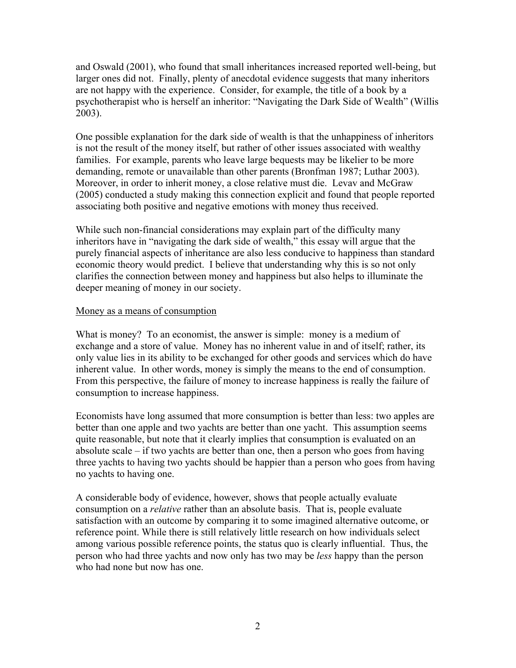and Oswald (2001), who found that small inheritances increased reported well-being, but larger ones did not. Finally, plenty of anecdotal evidence suggests that many inheritors are not happy with the experience. Consider, for example, the title of a book by a psychotherapist who is herself an inheritor: "Navigating the Dark Side of Wealth" (Willis 2003).

One possible explanation for the dark side of wealth is that the unhappiness of inheritors is not the result of the money itself, but rather of other issues associated with wealthy families. For example, parents who leave large bequests may be likelier to be more demanding, remote or unavailable than other parents (Bronfman 1987; Luthar 2003). Moreover, in order to inherit money, a close relative must die. Levav and McGraw (2005) conducted a study making this connection explicit and found that people reported associating both positive and negative emotions with money thus received.

While such non-financial considerations may explain part of the difficulty many inheritors have in "navigating the dark side of wealth," this essay will argue that the purely financial aspects of inheritance are also less conducive to happiness than standard economic theory would predict. I believe that understanding why this is so not only clarifies the connection between money and happiness but also helps to illuminate the deeper meaning of money in our society.

## Money as a means of consumption

What is money? To an economist, the answer is simple: money is a medium of exchange and a store of value. Money has no inherent value in and of itself; rather, its only value lies in its ability to be exchanged for other goods and services which do have inherent value. In other words, money is simply the means to the end of consumption. From this perspective, the failure of money to increase happiness is really the failure of consumption to increase happiness.

Economists have long assumed that more consumption is better than less: two apples are better than one apple and two yachts are better than one yacht. This assumption seems quite reasonable, but note that it clearly implies that consumption is evaluated on an absolute scale – if two yachts are better than one, then a person who goes from having three yachts to having two yachts should be happier than a person who goes from having no yachts to having one.

A considerable body of evidence, however, shows that people actually evaluate consumption on a *relative* rather than an absolute basis. That is, people evaluate satisfaction with an outcome by comparing it to some imagined alternative outcome, or reference point. While there is still relatively little research on how individuals select among various possible reference points, the status quo is clearly influential. Thus, the person who had three yachts and now only has two may be *less* happy than the person who had none but now has one.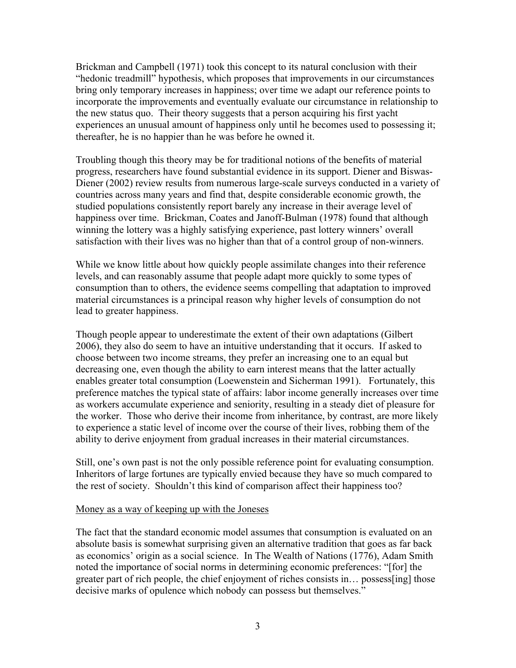Brickman and Campbell (1971) took this concept to its natural conclusion with their "hedonic treadmill" hypothesis, which proposes that improvements in our circumstances bring only temporary increases in happiness; over time we adapt our reference points to incorporate the improvements and eventually evaluate our circumstance in relationship to the new status quo. Their theory suggests that a person acquiring his first yacht experiences an unusual amount of happiness only until he becomes used to possessing it; thereafter, he is no happier than he was before he owned it.

Troubling though this theory may be for traditional notions of the benefits of material progress, researchers have found substantial evidence in its support. Diener and Biswas-Diener (2002) review results from numerous large-scale surveys conducted in a variety of countries across many years and find that, despite considerable economic growth, the studied populations consistently report barely any increase in their average level of happiness over time. Brickman, Coates and Janoff-Bulman (1978) found that although winning the lottery was a highly satisfying experience, past lottery winners' overall satisfaction with their lives was no higher than that of a control group of non-winners.

While we know little about how quickly people assimilate changes into their reference levels, and can reasonably assume that people adapt more quickly to some types of consumption than to others, the evidence seems compelling that adaptation to improved material circumstances is a principal reason why higher levels of consumption do not lead to greater happiness.

Though people appear to underestimate the extent of their own adaptations (Gilbert 2006), they also do seem to have an intuitive understanding that it occurs. If asked to choose between two income streams, they prefer an increasing one to an equal but decreasing one, even though the ability to earn interest means that the latter actually enables greater total consumption (Loewenstein and Sicherman 1991). Fortunately, this preference matches the typical state of affairs: labor income generally increases over time as workers accumulate experience and seniority, resulting in a steady diet of pleasure for the worker. Those who derive their income from inheritance, by contrast, are more likely to experience a static level of income over the course of their lives, robbing them of the ability to derive enjoyment from gradual increases in their material circumstances.

Still, one's own past is not the only possible reference point for evaluating consumption. Inheritors of large fortunes are typically envied because they have so much compared to the rest of society. Shouldn't this kind of comparison affect their happiness too?

### Money as a way of keeping up with the Joneses

The fact that the standard economic model assumes that consumption is evaluated on an absolute basis is somewhat surprising given an alternative tradition that goes as far back as economics' origin as a social science. In The Wealth of Nations (1776), Adam Smith noted the importance of social norms in determining economic preferences: "[for] the greater part of rich people, the chief enjoyment of riches consists in… possess[ing] those decisive marks of opulence which nobody can possess but themselves."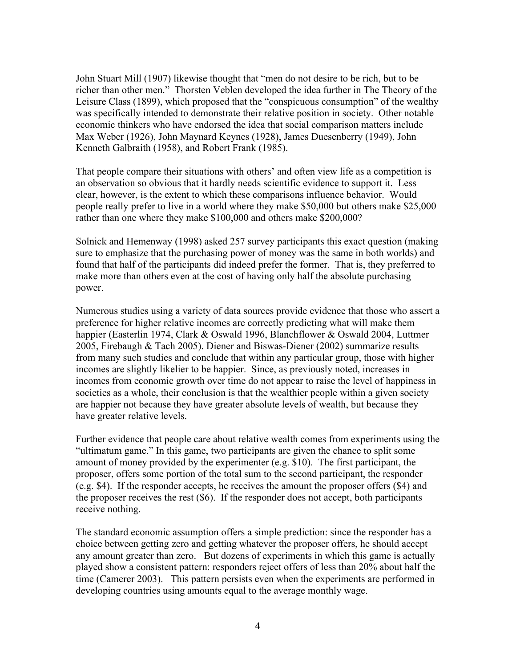John Stuart Mill (1907) likewise thought that "men do not desire to be rich, but to be richer than other men." Thorsten Veblen developed the idea further in The Theory of the Leisure Class (1899), which proposed that the "conspicuous consumption" of the wealthy was specifically intended to demonstrate their relative position in society. Other notable economic thinkers who have endorsed the idea that social comparison matters include Max Weber (1926), John Maynard Keynes (1928), James Duesenberry (1949), John Kenneth Galbraith (1958), and Robert Frank (1985).

That people compare their situations with others' and often view life as a competition is an observation so obvious that it hardly needs scientific evidence to support it. Less clear, however, is the extent to which these comparisons influence behavior. Would people really prefer to live in a world where they make \$50,000 but others make \$25,000 rather than one where they make \$100,000 and others make \$200,000?

Solnick and Hemenway (1998) asked 257 survey participants this exact question (making sure to emphasize that the purchasing power of money was the same in both worlds) and found that half of the participants did indeed prefer the former. That is, they preferred to make more than others even at the cost of having only half the absolute purchasing power.

Numerous studies using a variety of data sources provide evidence that those who assert a preference for higher relative incomes are correctly predicting what will make them happier (Easterlin 1974, Clark & Oswald 1996, Blanchflower & Oswald 2004, Luttmer 2005, Firebaugh & Tach 2005). Diener and Biswas-Diener (2002) summarize results from many such studies and conclude that within any particular group, those with higher incomes are slightly likelier to be happier. Since, as previously noted, increases in incomes from economic growth over time do not appear to raise the level of happiness in societies as a whole, their conclusion is that the wealthier people within a given society are happier not because they have greater absolute levels of wealth, but because they have greater relative levels.

Further evidence that people care about relative wealth comes from experiments using the "ultimatum game." In this game, two participants are given the chance to split some amount of money provided by the experimenter (e.g. \$10). The first participant, the proposer, offers some portion of the total sum to the second participant, the responder (e.g. \$4). If the responder accepts, he receives the amount the proposer offers (\$4) and the proposer receives the rest (\$6). If the responder does not accept, both participants receive nothing.

The standard economic assumption offers a simple prediction: since the responder has a choice between getting zero and getting whatever the proposer offers, he should accept any amount greater than zero. But dozens of experiments in which this game is actually played show a consistent pattern: responders reject offers of less than 20% about half the time (Camerer 2003). This pattern persists even when the experiments are performed in developing countries using amounts equal to the average monthly wage.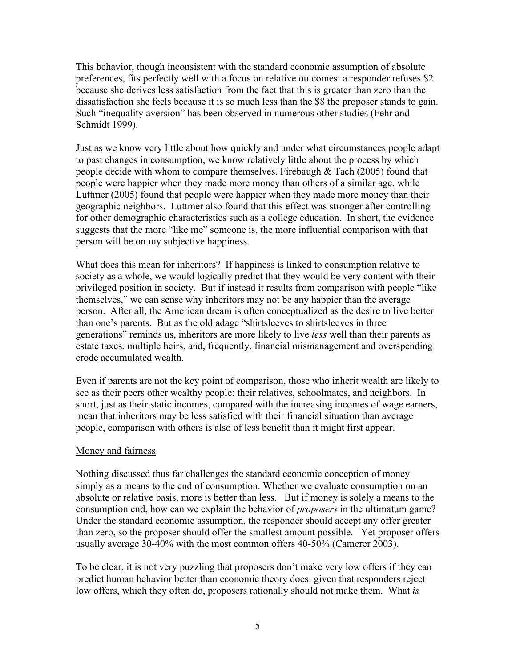This behavior, though inconsistent with the standard economic assumption of absolute preferences, fits perfectly well with a focus on relative outcomes: a responder refuses \$2 because she derives less satisfaction from the fact that this is greater than zero than the dissatisfaction she feels because it is so much less than the \$8 the proposer stands to gain. Such "inequality aversion" has been observed in numerous other studies (Fehr and Schmidt 1999).

Just as we know very little about how quickly and under what circumstances people adapt to past changes in consumption, we know relatively little about the process by which people decide with whom to compare themselves. Firebaugh & Tach (2005) found that people were happier when they made more money than others of a similar age, while Luttmer (2005) found that people were happier when they made more money than their geographic neighbors. Luttmer also found that this effect was stronger after controlling for other demographic characteristics such as a college education. In short, the evidence suggests that the more "like me" someone is, the more influential comparison with that person will be on my subjective happiness.

What does this mean for inheritors? If happiness is linked to consumption relative to society as a whole, we would logically predict that they would be very content with their privileged position in society. But if instead it results from comparison with people "like themselves," we can sense why inheritors may not be any happier than the average person. After all, the American dream is often conceptualized as the desire to live better than one's parents. But as the old adage "shirtsleeves to shirtsleeves in three generations" reminds us, inheritors are more likely to live *less* well than their parents as estate taxes, multiple heirs, and, frequently, financial mismanagement and overspending erode accumulated wealth.

Even if parents are not the key point of comparison, those who inherit wealth are likely to see as their peers other wealthy people: their relatives, schoolmates, and neighbors. In short, just as their static incomes, compared with the increasing incomes of wage earners, mean that inheritors may be less satisfied with their financial situation than average people, comparison with others is also of less benefit than it might first appear.

# Money and fairness

Nothing discussed thus far challenges the standard economic conception of money simply as a means to the end of consumption. Whether we evaluate consumption on an absolute or relative basis, more is better than less. But if money is solely a means to the consumption end, how can we explain the behavior of *proposers* in the ultimatum game? Under the standard economic assumption, the responder should accept any offer greater than zero, so the proposer should offer the smallest amount possible. Yet proposer offers usually average 30-40% with the most common offers 40-50% (Camerer 2003).

To be clear, it is not very puzzling that proposers don't make very low offers if they can predict human behavior better than economic theory does: given that responders reject low offers, which they often do, proposers rationally should not make them. What *is*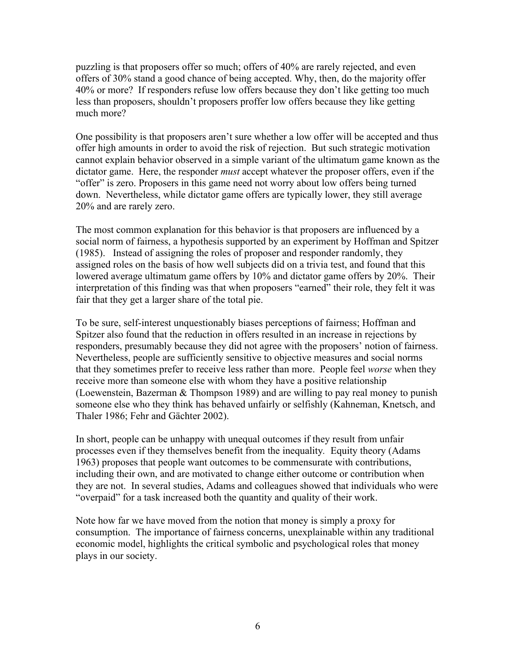puzzling is that proposers offer so much; offers of 40% are rarely rejected, and even offers of 30% stand a good chance of being accepted. Why, then, do the majority offer 40% or more? If responders refuse low offers because they don't like getting too much less than proposers, shouldn't proposers proffer low offers because they like getting much more?

One possibility is that proposers aren't sure whether a low offer will be accepted and thus offer high amounts in order to avoid the risk of rejection. But such strategic motivation cannot explain behavior observed in a simple variant of the ultimatum game known as the dictator game. Here, the responder *must* accept whatever the proposer offers, even if the "offer" is zero. Proposers in this game need not worry about low offers being turned down. Nevertheless, while dictator game offers are typically lower, they still average 20% and are rarely zero.

The most common explanation for this behavior is that proposers are influenced by a social norm of fairness, a hypothesis supported by an experiment by Hoffman and Spitzer (1985). Instead of assigning the roles of proposer and responder randomly, they assigned roles on the basis of how well subjects did on a trivia test, and found that this lowered average ultimatum game offers by 10% and dictator game offers by 20%. Their interpretation of this finding was that when proposers "earned" their role, they felt it was fair that they get a larger share of the total pie.

To be sure, self-interest unquestionably biases perceptions of fairness; Hoffman and Spitzer also found that the reduction in offers resulted in an increase in rejections by responders, presumably because they did not agree with the proposers' notion of fairness. Nevertheless, people are sufficiently sensitive to objective measures and social norms that they sometimes prefer to receive less rather than more. People feel *worse* when they receive more than someone else with whom they have a positive relationship (Loewenstein, Bazerman & Thompson 1989) and are willing to pay real money to punish someone else who they think has behaved unfairly or selfishly (Kahneman, Knetsch, and Thaler 1986; Fehr and Gächter 2002).

In short, people can be unhappy with unequal outcomes if they result from unfair processes even if they themselves benefit from the inequality*.* Equity theory (Adams 1963) proposes that people want outcomes to be commensurate with contributions, including their own, and are motivated to change either outcome or contribution when they are not. In several studies, Adams and colleagues showed that individuals who were "overpaid" for a task increased both the quantity and quality of their work.

Note how far we have moved from the notion that money is simply a proxy for consumption. The importance of fairness concerns, unexplainable within any traditional economic model, highlights the critical symbolic and psychological roles that money plays in our society.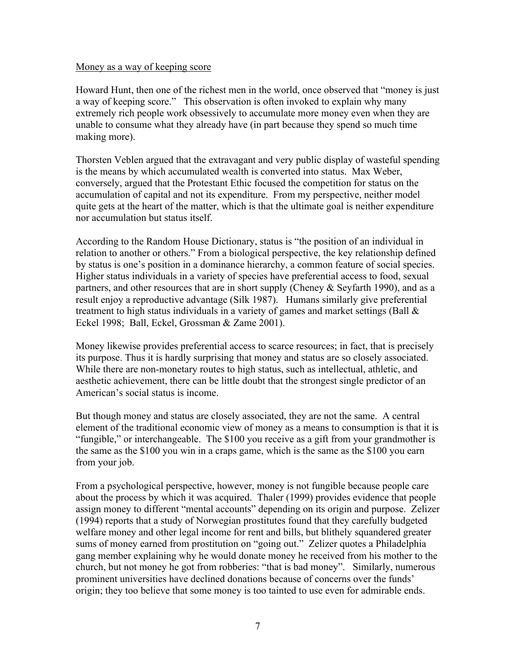### Money as a way of keeping score

Howard Hunt, then one of the richest men in the world, once observed that "money is just a way of keeping score." This observation is often invoked to explain why many extremely rich people work obsessively to accumulate more money even when they are unable to consume what they already have (in part because they spend so much time making more).

Thorsten Veblen argued that the extravagant and very public display of wasteful spending is the means by which accumulated wealth is converted into status. Max Weber, conversely, argued that the Protestant Ethic focused the competition for status on the accumulation of capital and not its expenditure. From my perspective, neither model quite gets at the heart of the matter, which is that the ultimate goal is neither expenditure nor accumulation but status itself.

According to the Random House Dictionary, status is "the position of an individual in relation to another or others." From a biological perspective, the key relationship defined by status is one's position in a dominance hierarchy, a common feature of social species. Higher status individuals in a variety of species have preferential access to food, sexual partners, and other resources that are in short supply (Cheney & Seyfarth 1990), and as a result enjoy a reproductive advantage (Silk 1987). Humans similarly give preferential treatment to high status individuals in a variety of games and market settings (Ball  $\&$ Eckel 1998; Ball, Eckel, Grossman & Zame 2001).

Money likewise provides preferential access to scarce resources; in fact, that is precisely its purpose. Thus it is hardly surprising that money and status are so closely associated. While there are non-monetary routes to high status, such as intellectual, athletic, and aesthetic achievement, there can be little doubt that the strongest single predictor of an American's social status is income.

But though money and status are closely associated, they are not the same. A central element of the traditional economic view of money as a means to consumption is that it is "fungible," or interchangeable. The \$100 you receive as a gift from your grandmother is the same as the \$100 you win in a craps game, which is the same as the \$100 you earn from your job.

From a psychological perspective, however, money is not fungible because people care about the process by which it was acquired. Thaler (1999) provides evidence that people assign money to different "mental accounts" depending on its origin and purpose. Zelizer (1994) reports that a study of Norwegian prostitutes found that they carefully budgeted welfare money and other legal income for rent and bills, but blithely squandered greater sums of money earned from prostitution on "going out." Zelizer quotes a Philadelphia gang member explaining why he would donate money he received from his mother to the church, but not money he got from robberies: "that is bad money". Similarly, numerous prominent universities have declined donations because of concerns over the funds' origin; they too believe that some money is too tainted to use even for admirable ends.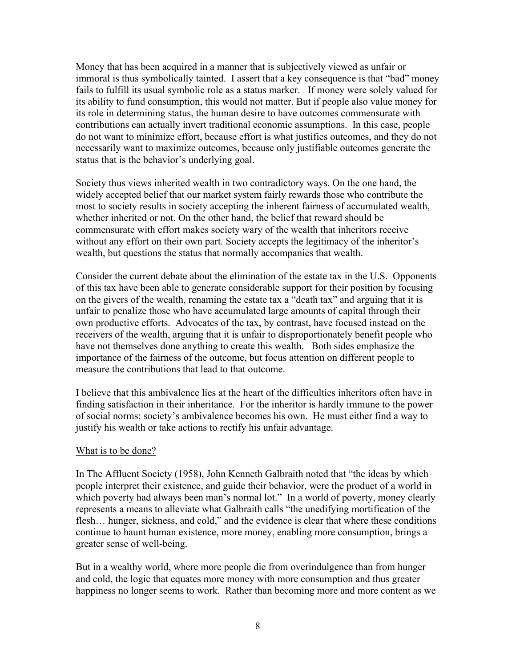Money that has been acquired in a manner that is subjectively viewed as unfair or immoral is thus symbolically tainted. I assert that a key consequence is that "bad" money fails to fulfill its usual symbolic role as a status marker. If money were solely valued for its ability to fund consumption, this would not matter. But if people also value money for its role in determining status, the human desire to have outcomes commensurate with contributions can actually invert traditional economic assumptions. In this case, people do not want to minimize effort, because effort is what justifies outcomes, and they do not necessarily want to maximize outcomes, because only justifiable outcomes generate the status that is the behavior's underlying goal.

Society thus views inherited wealth in two contradictory ways. On the one hand, the widely accepted belief that our market system fairly rewards those who contribute the most to society results in society accepting the inherent fairness of accumulated wealth, whether inherited or not. On the other hand, the belief that reward should be commensurate with effort makes society wary of the wealth that inheritors receive without any effort on their own part. Society accepts the legitimacy of the inheritor's wealth, but questions the status that normally accompanies that wealth.

Consider the current debate about the elimination of the estate tax in the U.S. Opponents of this tax have been able to generate considerable support for their position by focusing on the givers of the wealth, renaming the estate tax a "death tax" and arguing that it is unfair to penalize those who have accumulated large amounts of capital through their own productive efforts. Advocates of the tax, by contrast, have focused instead on the receivers of the wealth, arguing that it is unfair to disproportionately benefit people who have not themselves done anything to create this wealth. Both sides emphasize the importance of the fairness of the outcome, but focus attention on different people to measure the contributions that lead to that outcome.

I believe that this ambivalence lies at the heart of the difficulties inheritors often have in finding satisfaction in their inheritance. For the inheritor is hardly immune to the power of social norms; society's ambivalence becomes his own. He must either find a way to justify his wealth or take actions to rectify his unfair advantage.

# What is to be done?

In The Affluent Society (1958), John Kenneth Galbraith noted that "the ideas by which people interpret their existence, and guide their behavior, were the product of a world in which poverty had always been man's normal lot." In a world of poverty, money clearly represents a means to alleviate what Galbraith calls "the unedifying mortification of the flesh… hunger, sickness, and cold," and the evidence is clear that where these conditions continue to haunt human existence, more money, enabling more consumption, brings a greater sense of well-being.

But in a wealthy world, where more people die from overindulgence than from hunger and cold, the logic that equates more money with more consumption and thus greater happiness no longer seems to work. Rather than becoming more and more content as we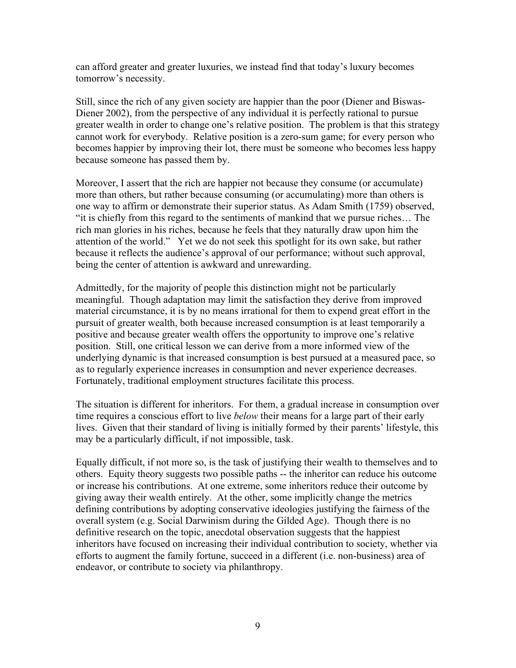can afford greater and greater luxuries, we instead find that today's luxury becomes tomorrow's necessity.

Still, since the rich of any given society are happier than the poor (Diener and Biswas-Diener 2002), from the perspective of any individual it is perfectly rational to pursue greater wealth in order to change one's relative position. The problem is that this strategy cannot work for everybody. Relative position is a zero-sum game; for every person who becomes happier by improving their lot, there must be someone who becomes less happy because someone has passed them by.

Moreover, I assert that the rich are happier not because they consume (or accumulate) more than others, but rather because consuming (or accumulating) more than others is one way to affirm or demonstrate their superior status. As Adam Smith (1759) observed, "it is chiefly from this regard to the sentiments of mankind that we pursue riches… The rich man glories in his riches, because he feels that they naturally draw upon him the attention of the world." Yet we do not seek this spotlight for its own sake, but rather because it reflects the audience's approval of our performance; without such approval, being the center of attention is awkward and unrewarding.

Admittedly, for the majority of people this distinction might not be particularly meaningful. Though adaptation may limit the satisfaction they derive from improved material circumstance, it is by no means irrational for them to expend great effort in the pursuit of greater wealth, both because increased consumption is at least temporarily a positive and because greater wealth offers the opportunity to improve one's relative position. Still, one critical lesson we can derive from a more informed view of the underlying dynamic is that increased consumption is best pursued at a measured pace, so as to regularly experience increases in consumption and never experience decreases. Fortunately, traditional employment structures facilitate this process.

The situation is different for inheritors. For them, a gradual increase in consumption over time requires a conscious effort to live *below* their means for a large part of their early lives. Given that their standard of living is initially formed by their parents' lifestyle, this may be a particularly difficult, if not impossible, task.

Equally difficult, if not more so, is the task of justifying their wealth to themselves and to others. Equity theory suggests two possible paths -- the inheritor can reduce his outcome or increase his contributions. At one extreme, some inheritors reduce their outcome by giving away their wealth entirely. At the other, some implicitly change the metrics defining contributions by adopting conservative ideologies justifying the fairness of the overall system (e.g. Social Darwinism during the Gilded Age). Though there is no definitive research on the topic, anecdotal observation suggests that the happiest inheritors have focused on increasing their individual contribution to society, whether via efforts to augment the family fortune, succeed in a different (i.e. non-business) area of endeavor, or contribute to society via philanthropy.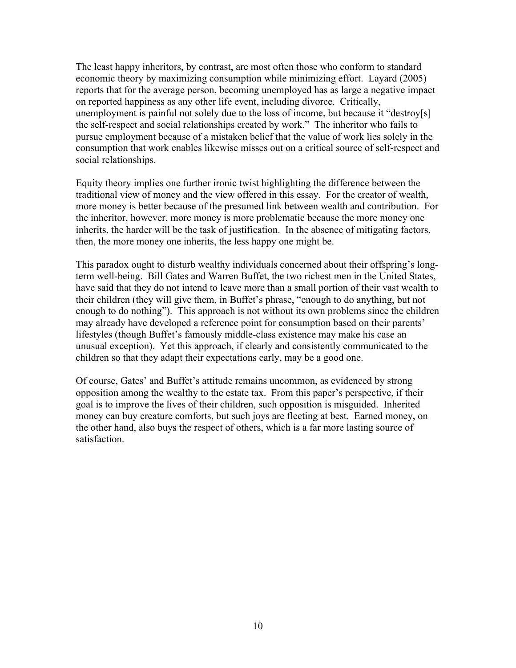The least happy inheritors, by contrast, are most often those who conform to standard economic theory by maximizing consumption while minimizing effort. Layard (2005) reports that for the average person, becoming unemployed has as large a negative impact on reported happiness as any other life event, including divorce. Critically, unemployment is painful not solely due to the loss of income, but because it "destroy[s] the self-respect and social relationships created by work." The inheritor who fails to pursue employment because of a mistaken belief that the value of work lies solely in the consumption that work enables likewise misses out on a critical source of self-respect and social relationships.

Equity theory implies one further ironic twist highlighting the difference between the traditional view of money and the view offered in this essay. For the creator of wealth, more money is better because of the presumed link between wealth and contribution. For the inheritor, however, more money is more problematic because the more money one inherits, the harder will be the task of justification. In the absence of mitigating factors, then, the more money one inherits, the less happy one might be.

This paradox ought to disturb wealthy individuals concerned about their offspring's longterm well-being. Bill Gates and Warren Buffet, the two richest men in the United States, have said that they do not intend to leave more than a small portion of their vast wealth to their children (they will give them, in Buffet's phrase, "enough to do anything, but not enough to do nothing"). This approach is not without its own problems since the children may already have developed a reference point for consumption based on their parents' lifestyles (though Buffet's famously middle-class existence may make his case an unusual exception). Yet this approach, if clearly and consistently communicated to the children so that they adapt their expectations early, may be a good one.

Of course, Gates' and Buffet's attitude remains uncommon, as evidenced by strong opposition among the wealthy to the estate tax. From this paper's perspective, if their goal is to improve the lives of their children, such opposition is misguided. Inherited money can buy creature comforts, but such joys are fleeting at best. Earned money, on the other hand, also buys the respect of others, which is a far more lasting source of satisfaction.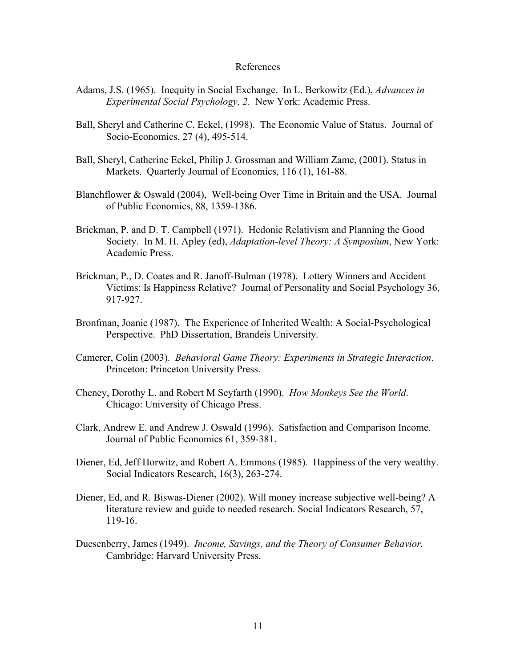#### References

- Adams, J.S. (1965). Inequity in Social Exchange. In L. Berkowitz (Ed.), *Advances in Experimental Social Psychology, 2*. New York: Academic Press.
- Ball, Sheryl and Catherine C. Eckel, (1998). The Economic Value of Status. Journal of Socio-Economics, 27 (4), 495-514.
- Ball, Sheryl, Catherine Eckel, Philip J. Grossman and William Zame, (2001). Status in Markets. Quarterly Journal of Economics, 116 (1), 161-88.
- Blanchflower & Oswald (2004), Well-being Over Time in Britain and the USA. Journal of Public Economics, 88, 1359-1386.
- Brickman, P. and D. T. Campbell (1971). Hedonic Relativism and Planning the Good Society. In M. H. Apley (ed), *Adaptation-level Theory: A Symposium*, New York: Academic Press.
- Brickman, P., D. Coates and R. Janoff-Bulman (1978). Lottery Winners and Accident Victims: Is Happiness Relative? Journal of Personality and Social Psychology 36, 917-927.
- Bronfman, Joanie (1987). The Experience of Inherited Wealth: A Social-Psychological Perspective. PhD Dissertation, Brandeis University.
- Camerer, Colin (2003). *Behavioral Game Theory: Experiments in Strategic Interaction*. Princeton: Princeton University Press.
- Cheney, Dorothy L. and Robert M Seyfarth (1990). *How Monkeys See the World*. Chicago: University of Chicago Press.
- Clark, Andrew E. and Andrew J. Oswald (1996). Satisfaction and Comparison Income. Journal of Public Economics 61, 359-381.
- Diener, Ed, Jeff Horwitz, and Robert A. Emmons (1985). Happiness of the very wealthy. Social Indicators Research, 16(3), 263-274.
- Diener, Ed, and R. Biswas-Diener (2002). Will money increase subjective well-being? A literature review and guide to needed research. Social Indicators Research, 57, 119-16.
- Duesenberry, James (1949). *Income, Savings, and the Theory of Consumer Behavior.* Cambridge: Harvard University Press.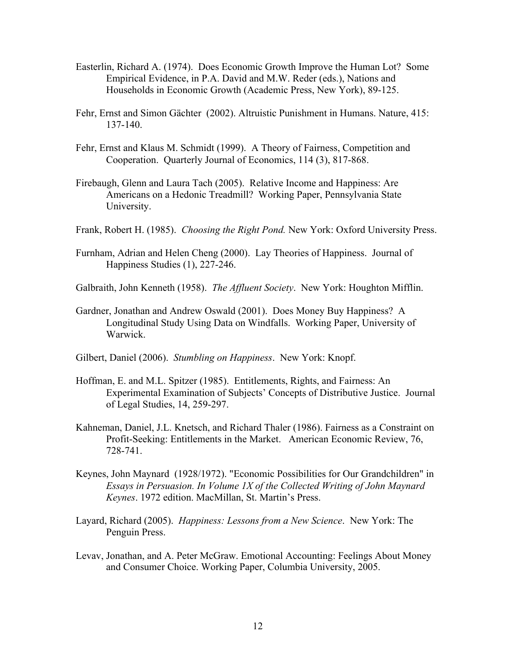- Easterlin, Richard A. (1974). Does Economic Growth Improve the Human Lot? Some Empirical Evidence, in P.A. David and M.W. Reder (eds.), Nations and Households in Economic Growth (Academic Press, New York), 89-125.
- Fehr, Ernst and Simon Gächter (2002). Altruistic Punishment in Humans. Nature, 415: 137-140.
- Fehr, Ernst and Klaus M. Schmidt (1999). A Theory of Fairness, Competition and Cooperation. Quarterly Journal of Economics, 114 (3), 817-868.
- Firebaugh, Glenn and Laura Tach (2005). Relative Income and Happiness: Are Americans on a Hedonic Treadmill? Working Paper, Pennsylvania State University.
- Frank, Robert H. (1985). *Choosing the Right Pond.* New York: Oxford University Press.
- Furnham, Adrian and Helen Cheng (2000). Lay Theories of Happiness. Journal of Happiness Studies (1), 227-246.
- Galbraith, John Kenneth (1958). *The Affluent Society*. New York: Houghton Mifflin.
- Gardner, Jonathan and Andrew Oswald (2001). Does Money Buy Happiness? A Longitudinal Study Using Data on Windfalls. Working Paper, University of Warwick.
- Gilbert, Daniel (2006). *Stumbling on Happiness*. New York: Knopf.
- Hoffman, E. and M.L. Spitzer (1985). Entitlements, Rights, and Fairness: An Experimental Examination of Subjects' Concepts of Distributive Justice. Journal of Legal Studies, 14, 259-297.
- Kahneman, Daniel, J.L. Knetsch, and Richard Thaler (1986). Fairness as a Constraint on Profit-Seeking: Entitlements in the Market. American Economic Review, 76, 728-741.
- Keynes, John Maynard (1928/1972). "Economic Possibilities for Our Grandchildren" in *Essays in Persuasion. In Volume 1X of the Collected Writing of John Maynard Keynes*. 1972 edition. MacMillan, St. Martin's Press.
- Layard, Richard (2005). *Happiness: Lessons from a New Science*. New York: The Penguin Press.
- Levav, Jonathan, and A. Peter McGraw. Emotional Accounting: Feelings About Money and Consumer Choice. Working Paper, Columbia University, 2005.